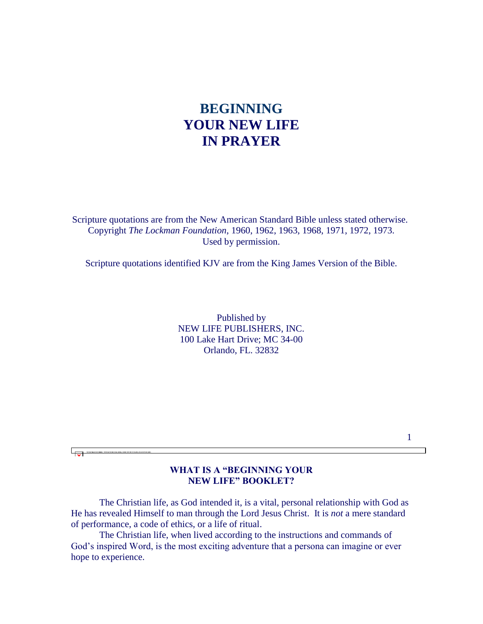# **BEGINNING YOUR NEW LIFE IN PRAYER**

Scripture quotations are from the New American Standard Bible unless stated otherwise. Copyright *The Lockman Foundation*, 1960, 1962, 1963, 1968, 1971, 1972, 1973. Used by permission.

Scripture quotations identified KJV are from the King James Version of the Bible.

Published by NEW LIFE PUBLISHERS, INC. 100 Lake Hart Drive; MC 34-00 Orlando, FL. 32832

### **WHAT IS A "BEGINNING YOUR NEW LIFE" BOOKLET?**

क

 The Christian life, as God intended it, is a vital, personal relationship with God as He has revealed Himself to man through the Lord Jesus Christ. It is *not* a mere standard of performance, a code of ethics, or a life of ritual.

 The Christian life, when lived according to the instructions and commands of God's inspired Word, is the most exciting adventure that a persona can imagine or ever hope to experience.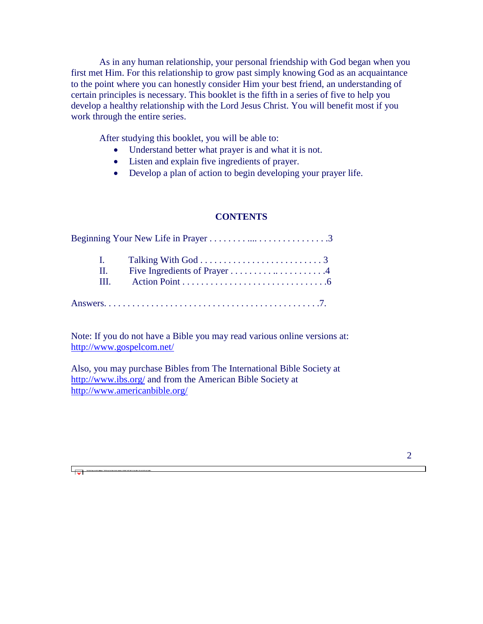As in any human relationship, your personal friendship with God began when you first met Him. For this relationship to grow past simply knowing God as an acquaintance to the point where you can honestly consider Him your best friend, an understanding of certain principles is necessary. This booklet is the fifth in a series of five to help you develop a healthy relationship with the Lord Jesus Christ. You will benefit most if you work through the entire series.

After studying this booklet, you will be able to:

- Understand better what prayer is and what it is not.
- Listen and explain five ingredients of prayer.
- Develop a plan of action to begin developing your prayer life.

### **CONTENTS**

| $\Pi$ . | Five Ingredients of Prayer 4 |
|---------|------------------------------|
| III.    |                              |

Note: If you do not have a Bible you may read various online versions at: <http://www.gospelcom.net/>

Also, you may purchase Bibles from The International Bible Society at <http://www.ibs.org/> and from the American Bible Society at <http://www.americanbible.org/>

फा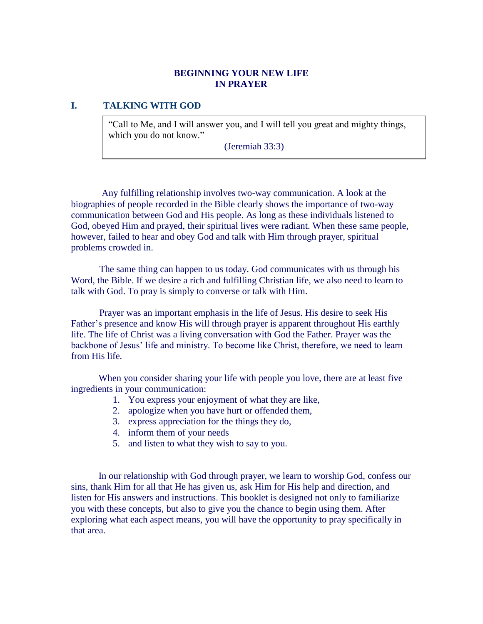# **BEGINNING YOUR NEW LIFE IN PRAYER**

# **I. TALKING WITH GOD**

"Call to Me, and I will answer you, and I will tell you great and mighty things, which you do not know."

(Jeremiah 33:3)

 Any fulfilling relationship involves two-way communication. A look at the biographies of people recorded in the Bible clearly shows the importance of two-way communication between God and His people. As long as these individuals listened to God, obeyed Him and prayed, their spiritual lives were radiant. When these same people, however, failed to hear and obey God and talk with Him through prayer, spiritual problems crowded in.

 The same thing can happen to us today. God communicates with us through his Word, the Bible. If we desire a rich and fulfilling Christian life, we also need to learn to talk with God. To pray is simply to converse or talk with Him.

 Prayer was an important emphasis in the life of Jesus. His desire to seek His Father's presence and know His will through prayer is apparent throughout His earthly life. The life of Christ was a living conversation with God the Father. Prayer was the backbone of Jesus' life and ministry. To become like Christ, therefore, we need to learn from His life.

When you consider sharing your life with people you love, there are at least five ingredients in your communication:

- 1. You express your enjoyment of what they are like,
- 2. apologize when you have hurt or offended them,
- 3. express appreciation for the things they do,
- 4. inform them of your needs
- 5. and listen to what they wish to say to you.

In our relationship with God through prayer, we learn to worship God, confess our sins, thank Him for all that He has given us, ask Him for His help and direction, and listen for His answers and instructions. This booklet is designed not only to familiarize you with these concepts, but also to give you the chance to begin using them. After exploring what each aspect means, you will have the opportunity to pray specifically in that area.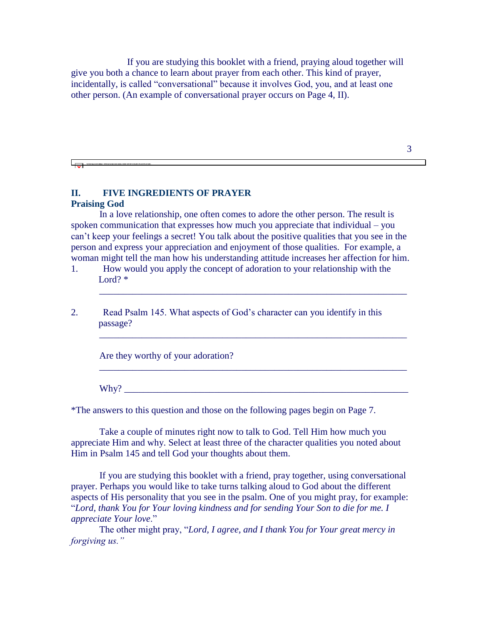If you are studying this booklet with a friend, praying aloud together will give you both a chance to learn about prayer from each other. This kind of prayer, incidentally, is called "conversational" because it involves God, you, and at least one other person. (An example of conversational prayer occurs on Page 4, II).

 $\overline{\overline{\overline{w}}}$ 

### **II. FIVE INGREDIENTS OF PRAYER Praising God**

 In a love relationship, one often comes to adore the other person. The result is spoken communication that expresses how much you appreciate that individual – you can't keep your feelings a secret! You talk about the positive qualities that you see in the person and express your appreciation and enjoyment of those qualities. For example, a woman might tell the man how his understanding attitude increases her affection for him.

\_\_\_\_\_\_\_\_\_\_\_\_\_\_\_\_\_\_\_\_\_\_\_\_\_\_\_\_\_\_\_\_\_\_\_\_\_\_\_\_\_\_\_\_\_\_\_\_\_\_\_\_\_\_\_\_\_\_\_\_\_\_\_\_\_

\_\_\_\_\_\_\_\_\_\_\_\_\_\_\_\_\_\_\_\_\_\_\_\_\_\_\_\_\_\_\_\_\_\_\_\_\_\_\_\_\_\_\_\_\_\_\_\_\_\_\_\_\_\_\_\_\_\_\_\_\_\_\_\_\_

\_\_\_\_\_\_\_\_\_\_\_\_\_\_\_\_\_\_\_\_\_\_\_\_\_\_\_\_\_\_\_\_\_\_\_\_\_\_\_\_\_\_\_\_\_\_\_\_\_\_\_\_\_\_\_\_\_\_\_\_\_\_\_\_\_

2. Read Psalm 145. What aspects of God's character can you identify in this passage?

Are they worthy of your adoration?

 $Why?$ 

\*The answers to this question and those on the following pages begin on Page 7.

 Take a couple of minutes right now to talk to God. Tell Him how much you appreciate Him and why. Select at least three of the character qualities you noted about Him in Psalm 145 and tell God your thoughts about them.

 If you are studying this booklet with a friend, pray together, using conversational prayer. Perhaps you would like to take turns talking aloud to God about the different aspects of His personality that you see in the psalm. One of you might pray, for example: "*Lord, thank You for Your loving kindness and for sending Your Son to die for me. I appreciate Your love*."

 The other might pray, "*Lord, I agree, and I thank You for Your great mercy in forgiving us."*

<sup>1.</sup> How would you apply the concept of adoration to your relationship with the Lord? \*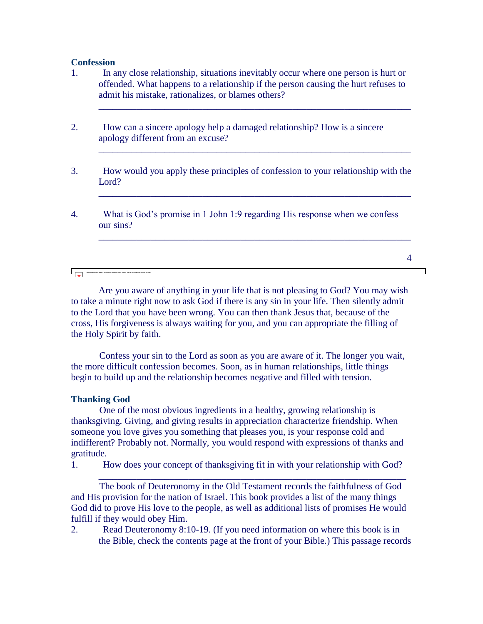### **Confession**

1. In any close relationship, situations inevitably occur where one person is hurt or offended. What happens to a relationship if the person causing the hurt refuses to admit his mistake, rationalizes, or blames others?

\_\_\_\_\_\_\_\_\_\_\_\_\_\_\_\_\_\_\_\_\_\_\_\_\_\_\_\_\_\_\_\_\_\_\_\_\_\_\_\_\_\_\_\_\_\_\_\_\_\_\_\_\_\_\_\_\_\_\_\_\_\_\_\_\_\_

\_\_\_\_\_\_\_\_\_\_\_\_\_\_\_\_\_\_\_\_\_\_\_\_\_\_\_\_\_\_\_\_\_\_\_\_\_\_\_\_\_\_\_\_\_\_\_\_\_\_\_\_\_\_\_\_\_\_\_\_\_\_\_\_\_\_

\_\_\_\_\_\_\_\_\_\_\_\_\_\_\_\_\_\_\_\_\_\_\_\_\_\_\_\_\_\_\_\_\_\_\_\_\_\_\_\_\_\_\_\_\_\_\_\_\_\_\_\_\_\_\_\_\_\_\_\_\_\_\_\_\_\_

\_\_\_\_\_\_\_\_\_\_\_\_\_\_\_\_\_\_\_\_\_\_\_\_\_\_\_\_\_\_\_\_\_\_\_\_\_\_\_\_\_\_\_\_\_\_\_\_\_\_\_\_\_\_\_\_\_\_\_\_\_\_\_\_\_\_

- 2. How can a sincere apology help a damaged relationship? How is a sincere apology different from an excuse?
- 3. How would you apply these principles of confession to your relationship with the Lord?
- 4. What is God's promise in 1 John 1:9 regarding His response when we confess our sins?

4

क

Are you aware of anything in your life that is not pleasing to God? You may wish to take a minute right now to ask God if there is any sin in your life. Then silently admit to the Lord that you have been wrong. You can then thank Jesus that, because of the cross, His forgiveness is always waiting for you, and you can appropriate the filling of the Holy Spirit by faith.

 Confess your sin to the Lord as soon as you are aware of it. The longer you wait, the more difficult confession becomes. Soon, as in human relationships, little things begin to build up and the relationship becomes negative and filled with tension.

#### **Thanking God**

 One of the most obvious ingredients in a healthy, growing relationship is thanksgiving. Giving, and giving results in appreciation characterize friendship. When someone you love gives you something that pleases you, is your response cold and indifferent? Probably not. Normally, you would respond with expressions of thanks and gratitude.

1. How does your concept of thanksgiving fit in with your relationship with God?

\_\_\_\_\_\_\_\_\_\_\_\_\_\_\_\_\_\_\_\_\_\_\_\_\_\_\_\_\_\_\_\_\_\_\_\_\_\_\_\_\_\_\_\_\_\_\_\_\_\_\_\_\_\_\_\_\_\_\_\_\_\_\_\_\_

 The book of Deuteronomy in the Old Testament records the faithfulness of God and His provision for the nation of Israel. This book provides a list of the many things God did to prove His love to the people, as well as additional lists of promises He would fulfill if they would obey Him.

2. Read Deuteronomy 8:10-19. (If you need information on where this book is in the Bible, check the contents page at the front of your Bible.) This passage records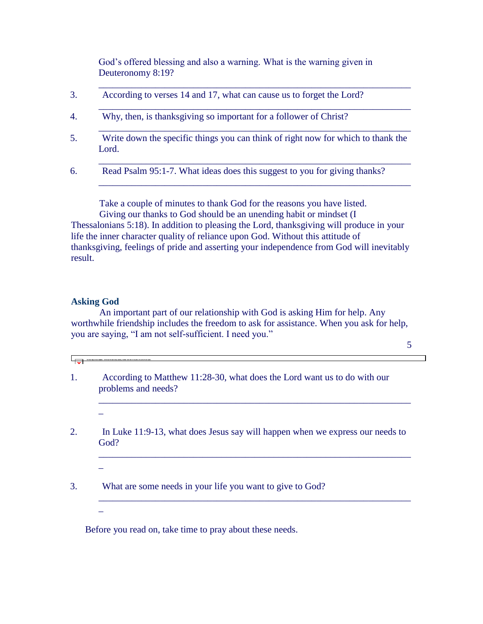God's offered blessing and also a warning. What is the warning given in Deuteronomy 8:19?

\_\_\_\_\_\_\_\_\_\_\_\_\_\_\_\_\_\_\_\_\_\_\_\_\_\_\_\_\_\_\_\_\_\_\_\_\_\_\_\_\_\_\_\_\_\_\_\_\_\_\_\_\_\_\_\_\_\_\_\_\_\_\_\_\_\_

\_\_\_\_\_\_\_\_\_\_\_\_\_\_\_\_\_\_\_\_\_\_\_\_\_\_\_\_\_\_\_\_\_\_\_\_\_\_\_\_\_\_\_\_\_\_\_\_\_\_\_\_\_\_\_\_\_\_\_\_\_\_\_\_\_\_

\_\_\_\_\_\_\_\_\_\_\_\_\_\_\_\_\_\_\_\_\_\_\_\_\_\_\_\_\_\_\_\_\_\_\_\_\_\_\_\_\_\_\_\_\_\_\_\_\_\_\_\_\_\_\_\_\_\_\_\_\_\_\_\_\_\_

\_\_\_\_\_\_\_\_\_\_\_\_\_\_\_\_\_\_\_\_\_\_\_\_\_\_\_\_\_\_\_\_\_\_\_\_\_\_\_\_\_\_\_\_\_\_\_\_\_\_\_\_\_\_\_\_\_\_\_\_\_\_\_\_\_\_

\_\_\_\_\_\_\_\_\_\_\_\_\_\_\_\_\_\_\_\_\_\_\_\_\_\_\_\_\_\_\_\_\_\_\_\_\_\_\_\_\_\_\_\_\_\_\_\_\_\_\_\_\_\_\_\_\_\_\_\_\_\_\_\_\_\_

- 3. According to verses 14 and 17, what can cause us to forget the Lord?
- 4. Why, then, is thanksgiving so important for a follower of Christ?
- 5. Write down the specific things you can think of right now for which to thank the Lord.
- 6. Read Psalm 95:1-7. What ideas does this suggest to you for giving thanks?

 Take a couple of minutes to thank God for the reasons you have listed. Giving our thanks to God should be an unending habit or mindset (I

Thessalonians 5:18). In addition to pleasing the Lord, thanksgiving will produce in your life the inner character quality of reliance upon God. Without this attitude of thanksgiving, feelings of pride and asserting your independence from God will inevitably result.

### **Asking God**

 An important part of our relationship with God is asking Him for help. Any worthwhile friendship includes the freedom to ask for assistance. When you ask for help, you are saying, "I am not self-sufficient. I need you."

5

 $\overline{\mathbf{v}}$ 

\_

\_

\_

- 1. According to Matthew 11:28-30, what does the Lord want us to do with our problems and needs?
- 2. In Luke 11:9-13, what does Jesus say will happen when we express our needs to God?

\_\_\_\_\_\_\_\_\_\_\_\_\_\_\_\_\_\_\_\_\_\_\_\_\_\_\_\_\_\_\_\_\_\_\_\_\_\_\_\_\_\_\_\_\_\_\_\_\_\_\_\_\_\_\_\_\_\_\_\_\_\_\_\_\_\_

\_\_\_\_\_\_\_\_\_\_\_\_\_\_\_\_\_\_\_\_\_\_\_\_\_\_\_\_\_\_\_\_\_\_\_\_\_\_\_\_\_\_\_\_\_\_\_\_\_\_\_\_\_\_\_\_\_\_\_\_\_\_\_\_\_\_

\_\_\_\_\_\_\_\_\_\_\_\_\_\_\_\_\_\_\_\_\_\_\_\_\_\_\_\_\_\_\_\_\_\_\_\_\_\_\_\_\_\_\_\_\_\_\_\_\_\_\_\_\_\_\_\_\_\_\_\_\_\_\_\_\_\_

3. What are some needs in your life you want to give to God?

Before you read on, take time to pray about these needs.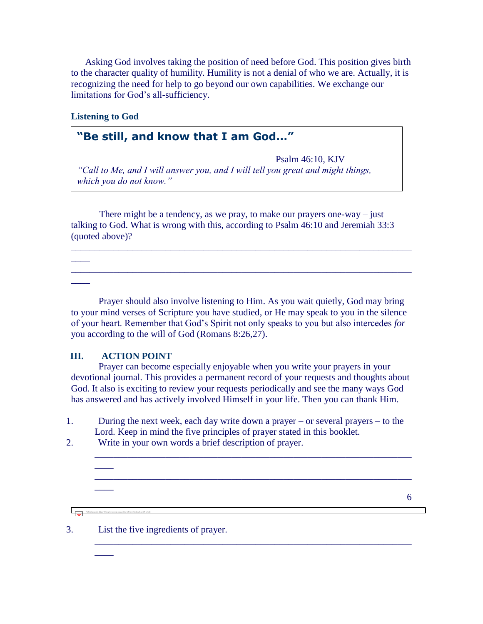Asking God involves taking the position of need before God. This position gives birth to the character quality of humility. Humility is not a denial of who we are. Actually, it is recognizing the need for help to go beyond our own capabilities. We exchange our limitations for God's all-sufficiency.

# **Listening to God**

 $\overline{\phantom{a}}$ 

 $\overline{\phantom{a}}$ 

 $\overline{\phantom{a}}$ 

# **"Be still, and know that I am God…"**

Psalm 46:10, KJV *"Call to Me, and I will answer you, and I will tell you great and might things, which you do not know."*

There might be a tendency, as we pray, to make our prayers one-way – just talking to God. What is wrong with this, according to Psalm 46:10 and Jeremiah 33:3 (quoted above)?

\_\_\_\_\_\_\_\_\_\_\_\_\_\_\_\_\_\_\_\_\_\_\_\_\_\_\_\_\_\_\_\_\_\_\_\_\_\_\_\_\_\_\_\_\_\_\_\_\_\_\_\_\_\_\_\_\_\_\_\_\_\_\_\_\_\_\_\_\_\_\_\_

\_\_\_\_\_\_\_\_\_\_\_\_\_\_\_\_\_\_\_\_\_\_\_\_\_\_\_\_\_\_\_\_\_\_\_\_\_\_\_\_\_\_\_\_\_\_\_\_\_\_\_\_\_\_\_\_\_\_\_\_\_\_\_\_\_\_\_\_\_\_\_\_

Jeremiah 33:3

Prayer should also involve listening to Him. As you wait quietly, God may bring to your mind verses of Scripture you have studied, or He may speak to you in the silence of your heart. Remember that God's Spirit not only speaks to you but also intercedes *for* you according to the will of God (Romans 8:26,27).

### **III. ACTION POINT**

 $\overline{\phantom{a}}$ 

 $\overline{\phantom{a}}$ 

 $\overline{+}$ 

 $\overline{\phantom{a}}$ 

Prayer can become especially enjoyable when you write your prayers in your devotional journal. This provides a permanent record of your requests and thoughts about God. It also is exciting to review your requests periodically and see the many ways God has answered and has actively involved Himself in your life. Then you can thank Him.

1. During the next week, each day write down a prayer – or several prayers – to the Lord. Keep in mind the five principles of prayer stated in this booklet.

\_\_\_\_\_\_\_\_\_\_\_\_\_\_\_\_\_\_\_\_\_\_\_\_\_\_\_\_\_\_\_\_\_\_\_\_\_\_\_\_\_\_\_\_\_\_\_\_\_\_\_\_\_\_\_\_\_\_\_\_\_\_\_\_\_\_\_

\_\_\_\_\_\_\_\_\_\_\_\_\_\_\_\_\_\_\_\_\_\_\_\_\_\_\_\_\_\_\_\_\_\_\_\_\_\_\_\_\_\_\_\_\_\_\_\_\_\_\_\_\_\_\_\_\_\_\_\_\_\_\_\_\_\_\_

\_\_\_\_\_\_\_\_\_\_\_\_\_\_\_\_\_\_\_\_\_\_\_\_\_\_\_\_\_\_\_\_\_\_\_\_\_\_\_\_\_\_\_\_\_\_\_\_\_\_\_\_\_\_\_\_\_\_\_\_\_\_\_\_\_\_\_

2. Write in your own words a brief description of prayer.

6

3. List the five ingredients of prayer.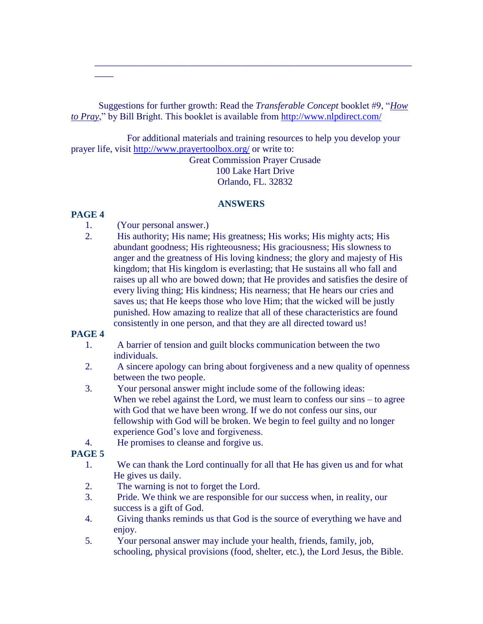Suggestions for further growth: Read the *Transferable Concept* booklet #9, "*How to Pray*," by Bill Bright. This booklet is available from<http://www.nlpdirect.com/>

\_\_\_\_\_\_\_\_\_\_\_\_\_\_\_\_\_\_\_\_\_\_\_\_\_\_\_\_\_\_\_\_\_\_\_\_\_\_\_\_\_\_\_\_\_\_\_\_\_\_\_\_\_\_\_\_\_\_\_\_\_\_\_\_\_\_\_

 For additional materials and training resources to help you develop your prayer life, visit<http://www.prayertoolbox.org/> or write to: Great Commission Prayer Crusade 100 Lake Hart Drive Orlando, FL. 32832

# **ANSWERS**

### **PAGE 4**

 $\overline{\phantom{a}}$ 

- 1. (Your personal answer.)
- 2. His authority; His name; His greatness; His works; His mighty acts; His abundant goodness; His righteousness; His graciousness; His slowness to anger and the greatness of His loving kindness; the glory and majesty of His kingdom; that His kingdom is everlasting; that He sustains all who fall and raises up all who are bowed down; that He provides and satisfies the desire of every living thing; His kindness; His nearness; that He hears our cries and saves us; that He keeps those who love Him; that the wicked will be justly punished. How amazing to realize that all of these characteristics are found consistently in one person, and that they are all directed toward us!

# **PAGE 4**

- 1. A barrier of tension and guilt blocks communication between the two individuals.
- 2. A sincere apology can bring about forgiveness and a new quality of openness between the two people.
- 3. Your personal answer might include some of the following ideas: When we rebel against the Lord, we must learn to confess our sins – to agree with God that we have been wrong. If we do not confess our sins, our fellowship with God will be broken. We begin to feel guilty and no longer experience God's love and forgiveness.
- 4. He promises to cleanse and forgive us.

# **PAGE 5**

- 1. We can thank the Lord continually for all that He has given us and for what He gives us daily.
- 2. The warning is not to forget the Lord.
- 3. Pride. We think we are responsible for our success when, in reality, our success is a gift of God.
- 4. Giving thanks reminds us that God is the source of everything we have and enjoy.
- 5. Your personal answer may include your health, friends, family, job, schooling, physical provisions (food, shelter, etc.), the Lord Jesus, the Bible.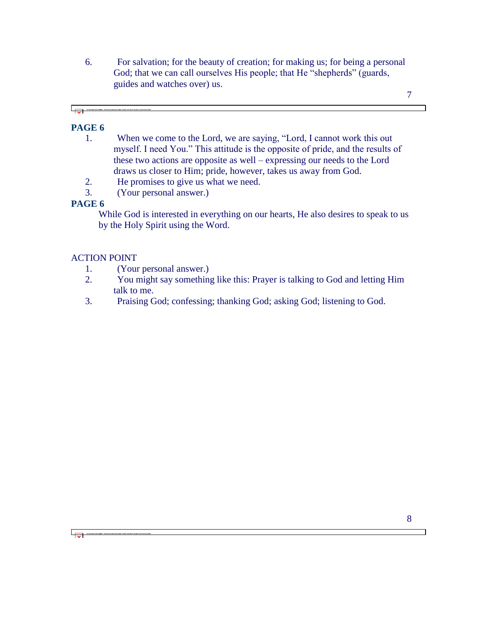6. For salvation; for the beauty of creation; for making us; for being a personal God; that we can call ourselves His people; that He "shepherds" (guards, guides and watches over) us.

7

# **PAGE 6**

└╤╾

- 1. When we come to the Lord, we are saying, "Lord, I cannot work this out myself. I need You." This attitude is the opposite of pride, and the results of these two actions are opposite as well – expressing our needs to the Lord draws us closer to Him; pride, however, takes us away from God.
- 2. He promises to give us what we need.
- 3. (Your personal answer.)

# **PAGE 6**

 $\overline{\phantom{a}}$ 

While God is interested in everything on our hearts, He also desires to speak to us by the Holy Spirit using the Word.

# ACTION POINT

- 1. (Your personal answer.)
- 2. You might say something like this: Prayer is talking to God and letting Him talk to me.
- 3. Praising God; confessing; thanking God; asking God; listening to God.